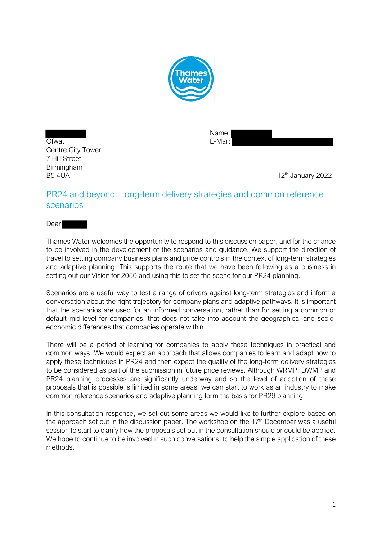

Ofwat E-Mail: Centre City Tower 7 Hill Street **Birmingham** B5 4UA 12<sup>th</sup> January 2022

Name:

# PR24 and beyond: Long-term delivery strategies and common reference scenarios

**Dear** 

Thames Water welcomes the opportunity to respond to this discussion paper, and for the chance to be involved in the development of the scenarios and guidance. We support the direction of travel to setting company business plans and price controls in the context of long-term strategies and adaptive planning. This supports the route that we have been following as a business in setting out our Vision for 2050 and using this to set the scene for our PR24 planning.

Scenarios are a useful way to test a range of drivers against long-term strategies and inform a conversation about the right trajectory for company plans and adaptive pathways. It is important that the scenarios are used for an informed conversation, rather than for setting a common or default mid-level for companies, that does not take into account the geographical and socioeconomic differences that companies operate within.

There will be a period of learning for companies to apply these techniques in practical and common ways. We would expect an approach that allows companies to learn and adapt how to apply these techniques in PR24 and then expect the quality of the long-term delivery strategies to be considered as part of the submission in future price reviews. Although WRMP, DWMP and PR24 planning processes are significantly underway and so the level of adoption of these proposals that is possible is limited in some areas, we can start to work as an industry to make common reference scenarios and adaptive planning form the basis for PR29 planning.

In this consultation response, we set out some areas we would like to further explore based on the approach set out in the discussion paper. The workshop on the  $17<sup>th</sup>$  December was a useful session to start to clarify how the proposals set out in the consultation should or could be applied. We hope to continue to be involved in such conversations, to help the simple application of these methods.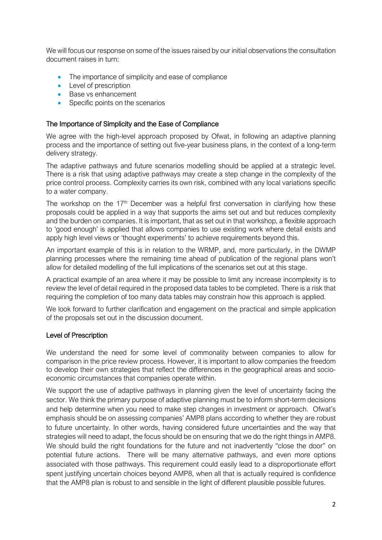We will focus our response on some of the issues raised by our initial observations the consultation document raises in turn:

- The importance of simplicity and ease of compliance
- Level of prescription
- Base vs enhancement
- Specific points on the scenarios

### The Importance of Simplicity and the Ease of Compliance

We agree with the high-level approach proposed by Ofwat, in following an adaptive planning process and the importance of setting out five-year business plans, in the context of a long-term delivery strategy.

The adaptive pathways and future scenarios modelling should be applied at a strategic level. There is a risk that using adaptive pathways may create a step change in the complexity of the price control process. Complexity carries its own risk, combined with any local variations specific to a water company.

The workshop on the  $17<sup>th</sup>$  December was a helpful first conversation in clarifying how these proposals could be applied in a way that supports the aims set out and but reduces complexity and the burden on companies. It is important, that as set out in that workshop, a flexible approach to 'good enough' is applied that allows companies to use existing work where detail exists and apply high level views or 'thought experiments' to achieve requirements beyond this.

An important example of this is in relation to the WRMP, and, more particularly, in the DWMP planning processes where the remaining time ahead of publication of the regional plans won't allow for detailed modelling of the full implications of the scenarios set out at this stage.

A practical example of an area where it may be possible to limit any increase incomplexity is to review the level of detail required in the proposed data tables to be completed. There is a risk that requiring the completion of too many data tables may constrain how this approach is applied.

We look forward to further clarification and engagement on the practical and simple application of the proposals set out in the discussion document.

#### Level of Prescription

We understand the need for some level of commonality between companies to allow for comparison in the price review process. However, it is important to allow companies the freedom to develop their own strategies that reflect the differences in the geographical areas and socioeconomic circumstances that companies operate within.

We support the use of adaptive pathways in planning given the level of uncertainty facing the sector. We think the primary purpose of adaptive planning must be to inform short-term decisions and help determine when you need to make step changes in investment or approach. Ofwat's emphasis should be on assessing companies' AMP8 plans according to whether they are robust to future uncertainty. In other words, having considered future uncertainties and the way that strategies will need to adapt, the focus should be on ensuring that we do the right things in AMP8. We should build the right foundations for the future and not inadvertently "close the door" on potential future actions. There will be many alternative pathways, and even more options associated with those pathways. This requirement could easily lead to a disproportionate effort spent justifying uncertain choices beyond AMP8, when all that is actually required is confidence that the AMP8 plan is robust to and sensible in the light of different plausible possible futures.